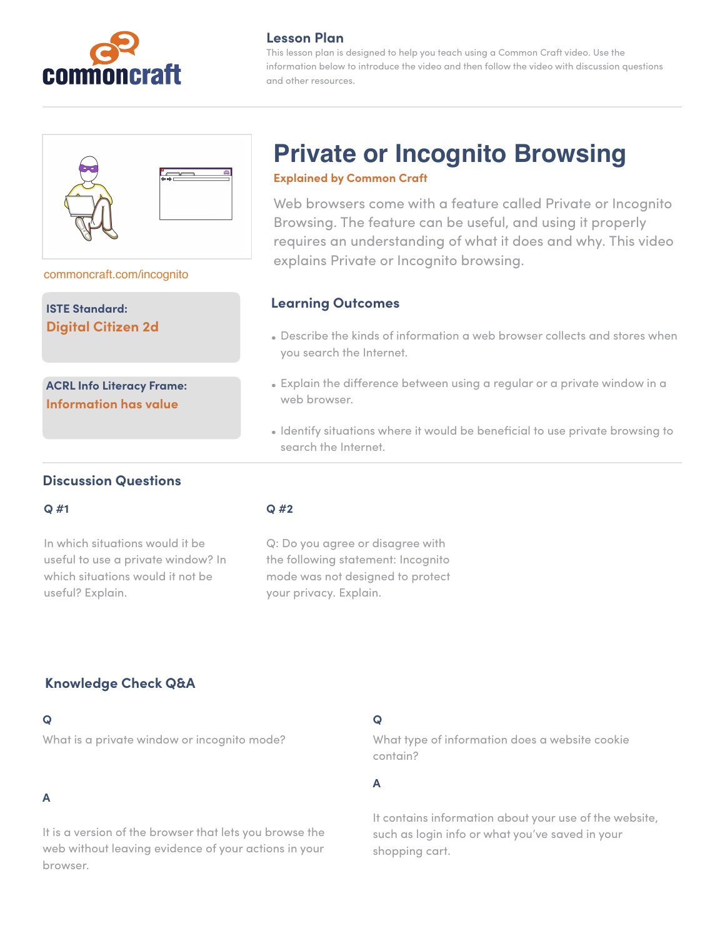

## **Lesson Plan**

This lesson plan is designed to help you teach using a Common Craft video. Use the information below to introduce the video and then follow the video with discussion questions and other resources.



#### [commoncraft.com/incognito](https://www.commoncraft.com/video/private-or-incognito-browsing)

**ISTE Standard: Digital Citizen 2d**

**ACRL Info Literacy Frame: Information has value**

# **Private or Incognito Browsing**

#### **Explained by Common Craft**

Web browsers come with a feature called Private or Incognito Browsing. The feature can be useful, and using it properly requires an understanding of what it does and why. This video explains Private or Incognito browsing.

## **Learning Outcomes**

- Describe the kinds of information a web browser collects and stores when you search the Internet.
- Explain the difference between using a regular or a private window in a web browser.
- Identify situations where it would be beneficial to use private browsing to search the Internet.

## **Discussion Questions**

#### **Q #1**

In which situations would it be useful to use a private window? In which situations would it not be useful? Explain.

#### **Q #2**

Q: Do you agree or disagree with the following statement: Incognito mode was not designed to protect your privacy. Explain.

# **Knowledge Check Q&A**

#### **Q**

What is a private window or incognito mode?

# **A**

It is a version of the browser that lets you browse the web without leaving evidence of your actions in your browser.

## **Q**

What type of information does a website cookie contain?

**A** 

It contains information about your use of the website, such as login info or what you've saved in your shopping cart.